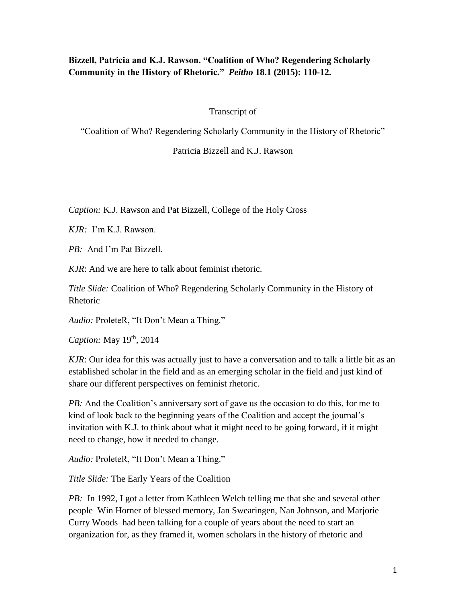# **Bizzell, Patricia and K.J. Rawson. "Coalition of Who? Regendering Scholarly Community in the History of Rhetoric."** *Peitho* **18.1 (2015): 110-12.**

Transcript of

"Coalition of Who? Regendering Scholarly Community in the History of Rhetoric"

Patricia Bizzell and K.J. Rawson

*Caption:* K.J. Rawson and Pat Bizzell, College of the Holy Cross

*KJR:* I'm K.J. Rawson.

*PB:* And I'm Pat Bizzell.

*KJR*: And we are here to talk about feminist rhetoric.

*Title Slide:* Coalition of Who? Regendering Scholarly Community in the History of Rhetoric

*Audio:* ProleteR, "It Don't Mean a Thing."

*Caption:* May 19th, 2014

*KJR*: Our idea for this was actually just to have a conversation and to talk a little bit as an established scholar in the field and as an emerging scholar in the field and just kind of share our different perspectives on feminist rhetoric.

*PB*: And the Coalition's anniversary sort of gave us the occasion to do this, for me to kind of look back to the beginning years of the Coalition and accept the journal's invitation with K.J. to think about what it might need to be going forward, if it might need to change, how it needed to change.

*Audio:* ProleteR, "It Don't Mean a Thing."

*Title Slide:* The Early Years of the Coalition

*PB:* In 1992, I got a letter from Kathleen Welch telling me that she and several other people–Win Horner of blessed memory, Jan Swearingen, Nan Johnson, and Marjorie Curry Woods–had been talking for a couple of years about the need to start an organization for, as they framed it, women scholars in the history of rhetoric and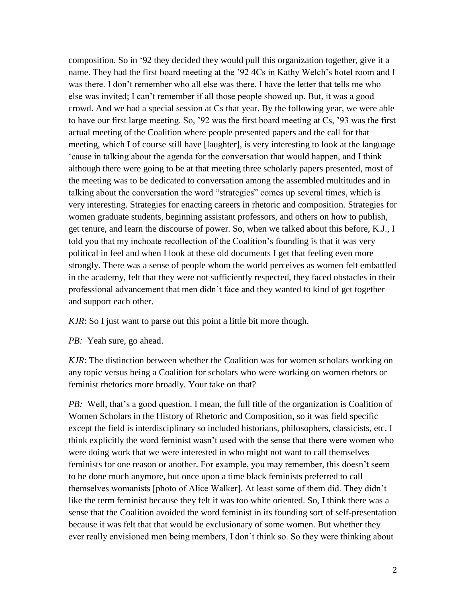composition. So in '92 they decided they would pull this organization together, give it a name. They had the first board meeting at the '92 4Cs in Kathy Welch's hotel room and I was there. I don't remember who all else was there. I have the letter that tells me who else was invited; I can't remember if all those people showed up. But, it was a good crowd. And we had a special session at Cs that year. By the following year, we were able to have our first large meeting. So, '92 was the first board meeting at Cs, '93 was the first actual meeting of the Coalition where people presented papers and the call for that meeting, which I of course still have [laughter], is very interesting to look at the language 'cause in talking about the agenda for the conversation that would happen, and I think although there were going to be at that meeting three scholarly papers presented, most of the meeting was to be dedicated to conversation among the assembled multitudes and in talking about the conversation the word "strategies" comes up several times, which is very interesting. Strategies for enacting careers in rhetoric and composition. Strategies for women graduate students, beginning assistant professors, and others on how to publish, get tenure, and learn the discourse of power. So, when we talked about this before, K.J., I told you that my inchoate recollection of the Coalition's founding is that it was very political in feel and when I look at these old documents I get that feeling even more strongly. There was a sense of people whom the world perceives as women felt embattled in the academy, felt that they were not sufficiently respected, they faced obstacles in their professional advancement that men didn't face and they wanted to kind of get together and support each other.

*KJR*: So I just want to parse out this point a little bit more though.

*PB:* Yeah sure, go ahead.

*KJR*: The distinction between whether the Coalition was for women scholars working on any topic versus being a Coalition for scholars who were working on women rhetors or feminist rhetorics more broadly. Your take on that?

*PB*: Well, that's a good question. I mean, the full title of the organization is Coalition of Women Scholars in the History of Rhetoric and Composition, so it was field specific except the field is interdisciplinary so included historians, philosophers, classicists, etc. I think explicitly the word feminist wasn't used with the sense that there were women who were doing work that we were interested in who might not want to call themselves feminists for one reason or another. For example, you may remember, this doesn't seem to be done much anymore, but once upon a time black feminists preferred to call themselves womanists [photo of Alice Walker]. At least some of them did. They didn't like the term feminist because they felt it was too white oriented. So, I think there was a sense that the Coalition avoided the word feminist in its founding sort of self-presentation because it was felt that that would be exclusionary of some women. But whether they ever really envisioned men being members, I don't think so. So they were thinking about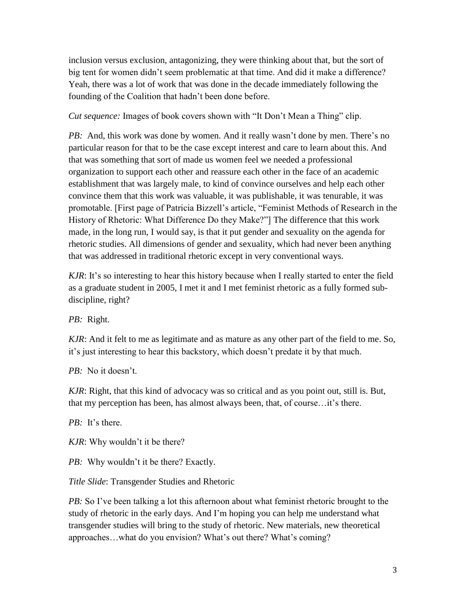inclusion versus exclusion, antagonizing, they were thinking about that, but the sort of big tent for women didn't seem problematic at that time. And did it make a difference? Yeah, there was a lot of work that was done in the decade immediately following the founding of the Coalition that hadn't been done before.

*Cut sequence:* Images of book covers shown with "It Don't Mean a Thing" clip.

*PB:* And, this work was done by women. And it really wasn't done by men. There's no particular reason for that to be the case except interest and care to learn about this. And that was something that sort of made us women feel we needed a professional organization to support each other and reassure each other in the face of an academic establishment that was largely male, to kind of convince ourselves and help each other convince them that this work was valuable, it was publishable, it was tenurable, it was promotable. [First page of Patricia Bizzell's article, "Feminist Methods of Research in the History of Rhetoric: What Difference Do they Make?"] The difference that this work made, in the long run, I would say, is that it put gender and sexuality on the agenda for rhetoric studies. All dimensions of gender and sexuality, which had never been anything that was addressed in traditional rhetoric except in very conventional ways.

*KJR*: It's so interesting to hear this history because when I really started to enter the field as a graduate student in 2005, I met it and I met feminist rhetoric as a fully formed subdiscipline, right?

*PB:* Right.

*KJR*: And it felt to me as legitimate and as mature as any other part of the field to me. So, it's just interesting to hear this backstory, which doesn't predate it by that much.

*PB:* No it doesn't.

*KJR*: Right, that this kind of advocacy was so critical and as you point out, still is. But, that my perception has been, has almost always been, that, of course…it's there.

*PB:* It's there.

*KJR*: Why wouldn't it be there?

*PB*: Why wouldn't it be there? Exactly.

*Title Slide*: Transgender Studies and Rhetoric

*PB*: So I've been talking a lot this afternoon about what feminist rhetoric brought to the study of rhetoric in the early days. And I'm hoping you can help me understand what transgender studies will bring to the study of rhetoric. New materials, new theoretical approaches…what do you envision? What's out there? What's coming?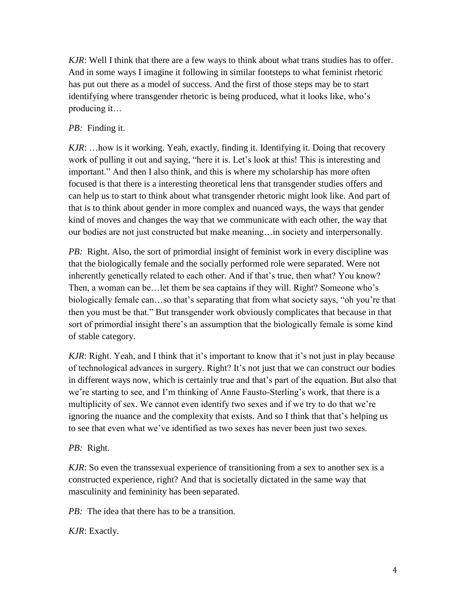*KJR*: Well I think that there are a few ways to think about what trans studies has to offer. And in some ways I imagine it following in similar footsteps to what feminist rhetoric has put out there as a model of success. And the first of those steps may be to start identifying where transgender rhetoric is being produced, what it looks like, who's producing it…

## *PB:* Finding it.

*KJR*: …how is it working. Yeah, exactly, finding it. Identifying it. Doing that recovery work of pulling it out and saying, "here it is. Let's look at this! This is interesting and important." And then I also think, and this is where my scholarship has more often focused is that there is a interesting theoretical lens that transgender studies offers and can help us to start to think about what transgender rhetoric might look like. And part of that is to think about gender in more complex and nuanced ways, the ways that gender kind of moves and changes the way that we communicate with each other, the way that our bodies are not just constructed but make meaning…in society and interpersonally.

*PB*: Right. Also, the sort of primordial insight of feminist work in every discipline was that the biologically female and the socially performed role were separated. Were not inherently genetically related to each other. And if that's true, then what? You know? Then, a woman can be…let them be sea captains if they will. Right? Someone who's biologically female can…so that's separating that from what society says, "oh you're that then you must be that." But transgender work obviously complicates that because in that sort of primordial insight there's an assumption that the biologically female is some kind of stable category.

*KJR*: Right. Yeah, and I think that it's important to know that it's not just in play because of technological advances in surgery. Right? It's not just that we can construct our bodies in different ways now, which is certainly true and that's part of the equation. But also that we're starting to see, and I'm thinking of Anne Fausto-Sterling's work, that there is a multiplicity of sex. We cannot even identify two sexes and if we try to do that we're ignoring the nuance and the complexity that exists. And so I think that that's helping us to see that even what we've identified as two sexes has never been just two sexes.

## *PB:* Right.

*KJR*: So even the transsexual experience of transitioning from a sex to another sex is a constructed experience, right? And that is societally dictated in the same way that masculinity and femininity has been separated.

*PB:* The idea that there has to be a transition.

*KJR*: Exactly.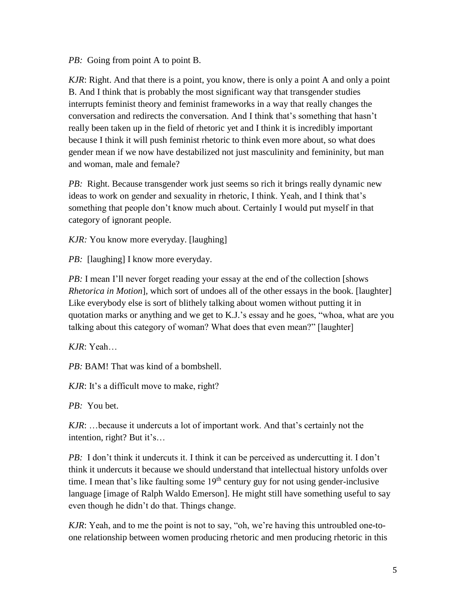*PB:* Going from point A to point B.

*KJR*: Right. And that there is a point, you know, there is only a point A and only a point B. And I think that is probably the most significant way that transgender studies interrupts feminist theory and feminist frameworks in a way that really changes the conversation and redirects the conversation. And I think that's something that hasn't really been taken up in the field of rhetoric yet and I think it is incredibly important because I think it will push feminist rhetoric to think even more about, so what does gender mean if we now have destabilized not just masculinity and femininity, but man and woman, male and female?

*PB*: Right. Because transgender work just seems so rich it brings really dynamic new ideas to work on gender and sexuality in rhetoric, I think. Yeah, and I think that's something that people don't know much about. Certainly I would put myself in that category of ignorant people.

*KJR:* You know more everyday. [laughing]

*PB*: [laughing] I know more everyday.

*PB*: I mean I'll never forget reading your essay at the end of the collection [shows *Rhetorica in Motion*], which sort of undoes all of the other essays in the book. [laughter] Like everybody else is sort of blithely talking about women without putting it in quotation marks or anything and we get to K.J.'s essay and he goes, "whoa, what are you talking about this category of woman? What does that even mean?" [laughter]

*KJR*: Yeah…

*PB:* BAM! That was kind of a bombshell.

*KJR*: It's a difficult move to make, right?

*PB:* You bet.

*KJR*: …because it undercuts a lot of important work. And that's certainly not the intention, right? But it's…

*PB:* I don't think it undercuts it. I think it can be perceived as undercutting it. I don't think it undercuts it because we should understand that intellectual history unfolds over time. I mean that's like faulting some 19<sup>th</sup> century guy for not using gender-inclusive language [image of Ralph Waldo Emerson]. He might still have something useful to say even though he didn't do that. Things change.

*KJR*: Yeah, and to me the point is not to say, "oh, we're having this untroubled one-toone relationship between women producing rhetoric and men producing rhetoric in this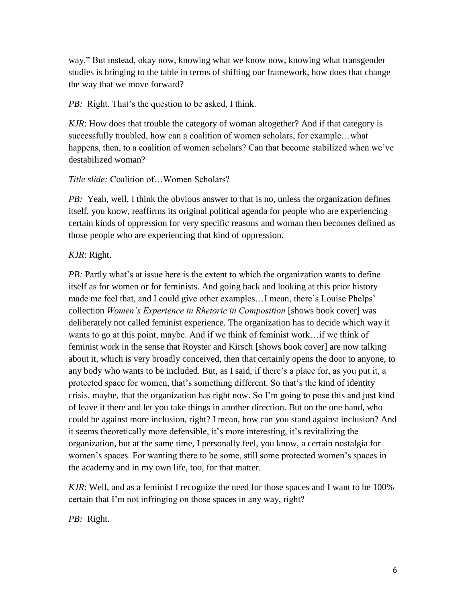way." But instead, okay now, knowing what we know now, knowing what transgender studies is bringing to the table in terms of shifting our framework, how does that change the way that we move forward?

*PB*: Right. That's the question to be asked, I think.

*KJR*: How does that trouble the category of woman altogether? And if that category is successfully troubled, how can a coalition of women scholars, for example…what happens, then, to a coalition of women scholars? Can that become stabilized when we've destabilized woman?

## *Title slide:* Coalition of…Women Scholars?

*PB:* Yeah, well, I think the obvious answer to that is no, unless the organization defines itself, you know, reaffirms its original political agenda for people who are experiencing certain kinds of oppression for very specific reasons and woman then becomes defined as those people who are experiencing that kind of oppression.

## *KJR*: Right.

*PB*: Partly what's at issue here is the extent to which the organization wants to define itself as for women or for feminists. And going back and looking at this prior history made me feel that, and I could give other examples…I mean, there's Louise Phelps' collection *Women's Experience in Rhetoric in Composition* [shows book cover] was deliberately not called feminist experience. The organization has to decide which way it wants to go at this point, maybe. And if we think of feminist work…if we think of feminist work in the sense that Royster and Kirsch [shows book cover] are now talking about it, which is very broadly conceived, then that certainly opens the door to anyone, to any body who wants to be included. But, as I said, if there's a place for, as you put it, a protected space for women, that's something different. So that's the kind of identity crisis, maybe, that the organization has right now. So I'm going to pose this and just kind of leave it there and let you take things in another direction. But on the one hand, who could be against more inclusion, right? I mean, how can you stand against inclusion? And it seems theoretically more defensible, it's more interesting, it's revitalizing the organization, but at the same time, I personally feel, you know, a certain nostalgia for women's spaces. For wanting there to be some, still some protected women's spaces in the academy and in my own life, too, for that matter.

*KJR*: Well, and as a feminist I recognize the need for those spaces and I want to be 100% certain that I'm not infringing on those spaces in any way, right?

*PB:* Right.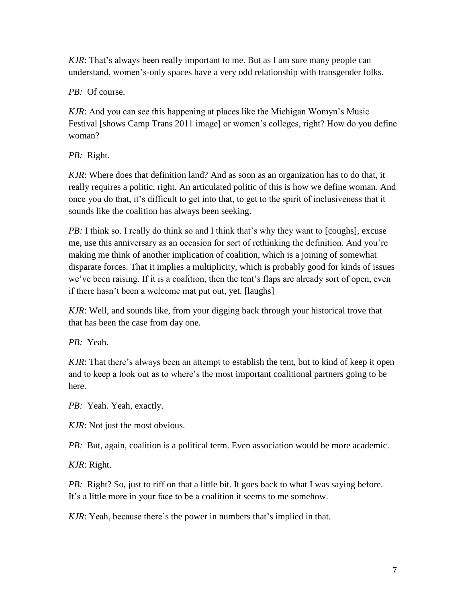*KJR*: That's always been really important to me. But as I am sure many people can understand, women's-only spaces have a very odd relationship with transgender folks.

*PB:* Of course.

*KJR*: And you can see this happening at places like the Michigan Womyn's Music Festival [shows Camp Trans 2011 image] or women's colleges, right? How do you define woman?

*PB:* Right.

*KJR*: Where does that definition land? And as soon as an organization has to do that, it really requires a politic, right. An articulated politic of this is how we define woman. And once you do that, it's difficult to get into that, to get to the spirit of inclusiveness that it sounds like the coalition has always been seeking.

*PB:* I think so. I really do think so and I think that's why they want to [coughs], excuse me, use this anniversary as an occasion for sort of rethinking the definition. And you're making me think of another implication of coalition, which is a joining of somewhat disparate forces. That it implies a multiplicity, which is probably good for kinds of issues we've been raising. If it is a coalition, then the tent's flaps are already sort of open, even if there hasn't been a welcome mat put out, yet. [laughs]

*KJR*: Well, and sounds like, from your digging back through your historical trove that that has been the case from day one.

*PB:* Yeah.

*KJR*: That there's always been an attempt to establish the tent, but to kind of keep it open and to keep a look out as to where's the most important coalitional partners going to be here.

*PB:* Yeah. Yeah, exactly.

*KJR*: Not just the most obvious.

*PB:* But, again, coalition is a political term. Even association would be more academic.

*KJR*: Right.

*PB*: Right? So, just to riff on that a little bit. It goes back to what I was saying before. It's a little more in your face to be a coalition it seems to me somehow.

*KJR*: Yeah, because there's the power in numbers that's implied in that.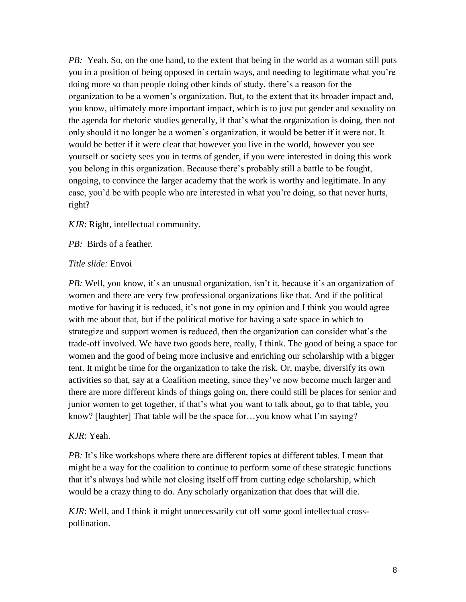*PB:* Yeah. So, on the one hand, to the extent that being in the world as a woman still puts you in a position of being opposed in certain ways, and needing to legitimate what you're doing more so than people doing other kinds of study, there's a reason for the organization to be a women's organization. But, to the extent that its broader impact and, you know, ultimately more important impact, which is to just put gender and sexuality on the agenda for rhetoric studies generally, if that's what the organization is doing, then not only should it no longer be a women's organization, it would be better if it were not. It would be better if it were clear that however you live in the world, however you see yourself or society sees you in terms of gender, if you were interested in doing this work you belong in this organization. Because there's probably still a battle to be fought, ongoing, to convince the larger academy that the work is worthy and legitimate. In any case, you'd be with people who are interested in what you're doing, so that never hurts, right?

*KJR*: Right, intellectual community.

*PB:* Birds of a feather.

#### *Title slide:* Envoi

*PB:* Well, you know, it's an unusual organization, isn't it, because it's an organization of women and there are very few professional organizations like that. And if the political motive for having it is reduced, it's not gone in my opinion and I think you would agree with me about that, but if the political motive for having a safe space in which to strategize and support women is reduced, then the organization can consider what's the trade-off involved. We have two goods here, really, I think. The good of being a space for women and the good of being more inclusive and enriching our scholarship with a bigger tent. It might be time for the organization to take the risk. Or, maybe, diversify its own activities so that, say at a Coalition meeting, since they've now become much larger and there are more different kinds of things going on, there could still be places for senior and junior women to get together, if that's what you want to talk about, go to that table, you know? [laughter] That table will be the space for…you know what I'm saying?

## *KJR*: Yeah.

*PB*: It's like workshops where there are different topics at different tables. I mean that might be a way for the coalition to continue to perform some of these strategic functions that it's always had while not closing itself off from cutting edge scholarship, which would be a crazy thing to do. Any scholarly organization that does that will die.

*KJR*: Well, and I think it might unnecessarily cut off some good intellectual crosspollination.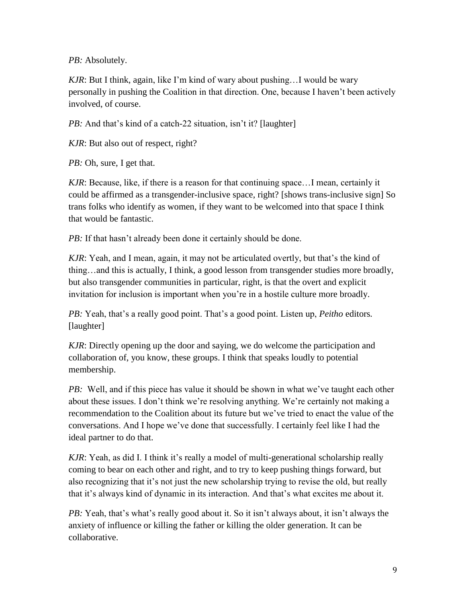*PB:* Absolutely.

*KJR*: But I think, again, like I'm kind of wary about pushing…I would be wary personally in pushing the Coalition in that direction. One, because I haven't been actively involved, of course.

*PB*: And that's kind of a catch-22 situation, isn't it? [laughter]

*KJR*: But also out of respect, right?

*PB:* Oh, sure, I get that.

*KJR*: Because, like, if there is a reason for that continuing space…I mean, certainly it could be affirmed as a transgender-inclusive space, right? [shows trans-inclusive sign] So trans folks who identify as women, if they want to be welcomed into that space I think that would be fantastic.

*PB*: If that hasn't already been done it certainly should be done.

*KJR*: Yeah, and I mean, again, it may not be articulated overtly, but that's the kind of thing…and this is actually, I think, a good lesson from transgender studies more broadly, but also transgender communities in particular, right, is that the overt and explicit invitation for inclusion is important when you're in a hostile culture more broadly.

*PB:* Yeah, that's a really good point. That's a good point. Listen up, *Peitho* editors*.* [laughter]

*KJR*: Directly opening up the door and saying, we do welcome the participation and collaboration of, you know, these groups. I think that speaks loudly to potential membership.

*PB:* Well, and if this piece has value it should be shown in what we've taught each other about these issues. I don't think we're resolving anything. We're certainly not making a recommendation to the Coalition about its future but we've tried to enact the value of the conversations. And I hope we've done that successfully. I certainly feel like I had the ideal partner to do that.

*KJR*: Yeah, as did I. I think it's really a model of multi-generational scholarship really coming to bear on each other and right, and to try to keep pushing things forward, but also recognizing that it's not just the new scholarship trying to revise the old, but really that it's always kind of dynamic in its interaction. And that's what excites me about it.

*PB:* Yeah, that's what's really good about it. So it isn't always about, it isn't always the anxiety of influence or killing the father or killing the older generation. It can be collaborative.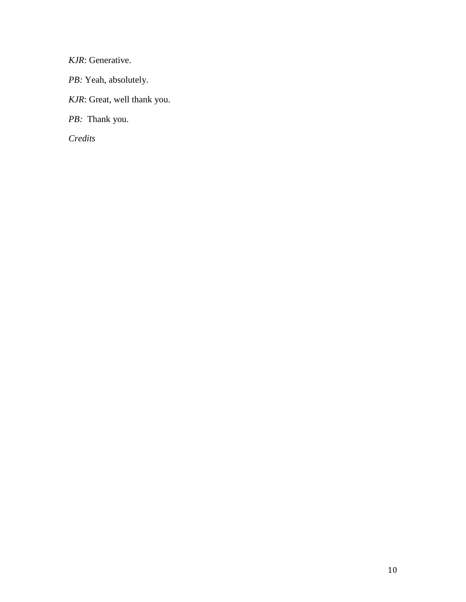*KJR*: Generative.

PB: Yeah, absolutely.

*KJR*: Great, well thank you.

*PB:* Thank you.

*Credits*